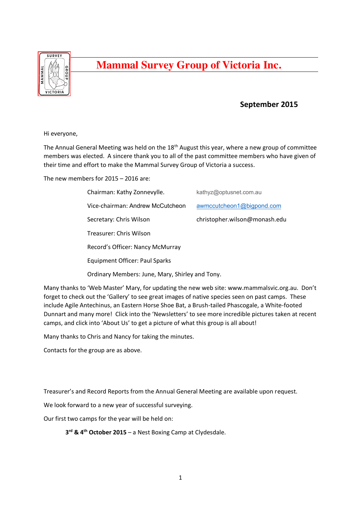

## **Mammal Survey Group of Victoria Inc.**

## **September 2015**

Hi everyone,

The Annual General Meeting was held on the 18<sup>th</sup> August this year, where a new group of committee members was elected. A sincere thank you to all of the past committee members who have given of their time and effort to make the Mammal Survey Group of Victoria a success.

The new members for 2015 – 2016 are:

| Chairman: Kathy Zonnevylle.                     | kathyz@optusnet.com.au        |
|-------------------------------------------------|-------------------------------|
| Vice-chairman: Andrew McCutcheon                | awmccutcheon1@bigpond.com     |
| Secretary: Chris Wilson                         | christopher.wilson@monash.edu |
| Treasurer: Chris Wilson                         |                               |
| Record's Officer: Nancy McMurray                |                               |
| Equipment Officer: Paul Sparks                  |                               |
| Ordinary Members: June, Mary, Shirley and Tony. |                               |

Many thanks to 'Web Master' Mary, for updating the new web site: www.mammalsvic.org.au. Don't forget to check out the 'Gallery' to see great images of native species seen on past camps. These include Agile Antechinus, an Eastern Horse Shoe Bat, a Brush-tailed Phascogale, a White-footed Dunnart and many more! Click into the 'Newsletters' to see more incredible pictures taken at recent camps, and click into 'About Us' to get a picture of what this group is all about!

Many thanks to Chris and Nancy for taking the minutes.

Contacts for the group are as above.

Treasurer's and Record Reports from the Annual General Meeting are available upon request.

We look forward to a new year of successful surveying.

Our first two camps for the year will be held on:

**3rd & 4th October 2015** – a Nest Boxing Camp at Clydesdale.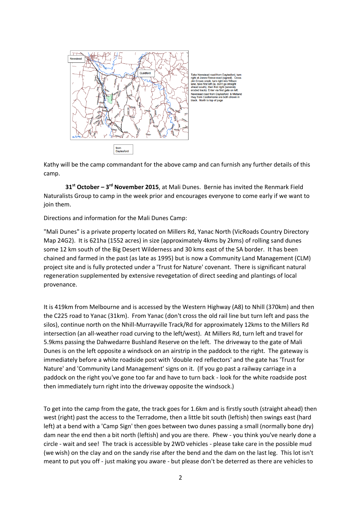

Take Newstead road from Daylesford,<br>right at Jones-Reece road (signed). C<br>Jim Crowe creek, turn right into Wilson<br>lane, take first left (ie, don't go straight<br>ahead south), then first right (severely<br>eroded track). Enter v Newstead road from Daylesford & Midland<br>Hwy from Castlemaine are both shown in<br>black. North to top of page

Kathy will be the camp commandant for the above camp and can furnish any further details of this camp.

 **31st October – 3rd November 2015**, at Mali Dunes. Bernie has invited the Renmark Field Naturalists Group to camp in the week prior and encourages everyone to come early if we want to join them.

Directions and information for the Mali Dunes Camp:

"Mali Dunes" is a private property located on Millers Rd, Yanac North (VicRoads Country Directory Map 24G2). It is 621ha (1552 acres) in size (approximately 4kms by 2kms) of rolling sand dunes some 12 km south of the Big Desert Wilderness and 30 kms east of the SA border. It has been chained and farmed in the past (as late as 1995) but is now a Community Land Management (CLM) project site and is fully protected under a 'Trust for Nature' covenant. There is significant natural regeneration supplemented by extensive revegetation of direct seeding and plantings of local provenance.

It is 419km from Melbourne and is accessed by the Western Highway (A8) to Nhill (370km) and then the C225 road to Yanac (31km). From Yanac (don't cross the old rail line but turn left and pass the silos), continue north on the Nhill-Murrayville Track/Rd for approximately 12kms to the Millers Rd intersection (an all-weather road curving to the left/west). At Millers Rd, turn left and travel for 5.9kms passing the Dahwedarre Bushland Reserve on the left. The driveway to the gate of Mali Dunes is on the left opposite a windsock on an airstrip in the paddock to the right. The gateway is immediately before a white roadside post with 'double red reflectors' and the gate has 'Trust for Nature' and 'Community Land Management' signs on it. (If you go past a railway carriage in a paddock on the right you've gone too far and have to turn back - look for the white roadside post then immediately turn right into the driveway opposite the windsock.)

To get into the camp from the gate, the track goes for 1.6km and is firstly south (straight ahead) then west (right) past the access to the Terradome, then a little bit south (leftish) then swings east (hard left) at a bend with a 'Camp Sign' then goes between two dunes passing a small (normally bone dry) dam near the end then a bit north (leftish) and you are there. Phew - you think you've nearly done a circle - wait and see! The track is accessible by 2WD vehicles - please take care in the possible mud (we wish) on the clay and on the sandy rise after the bend and the dam on the last leg. This lot isn't meant to put you off - just making you aware - but please don't be deterred as there are vehicles to